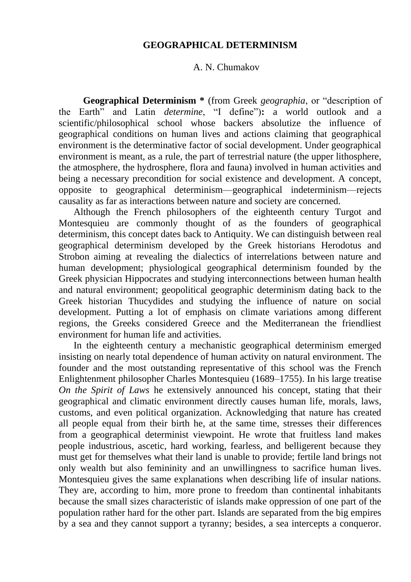## **GEOGRAPHICAL DETERMINISM**

## A. N. Chumakov

**Geographical Determinism \*** (from Greek *geographia*, or "description of the Earth" and Latin *determine*, "I define")**:** a world outlook and a scientific/philosophical school whose backers absolutize the influence of geographical conditions on human lives and actions claiming that geographical environment is the determinative factor of social development. Under geographical environment is meant, as a rule, the part of terrestrial nature (the upper lithosphere, the atmosphere, the hydrosphere, flora and fauna) involved in human activities and being a necessary precondition for social existence and development. A concept, opposite to geographical determinism—geographical indeterminism—rejects causality as far as interactions between nature and society are concerned.

Although the French philosophers of the eighteenth century Turgot and Montesquieu are commonly thought of as the founders of geographical determinism, this concept dates back to Antiquity. We can distinguish between real geographical determinism developed by the Greek historians Herodotus and Strobon aiming at revealing the dialectics of interrelations between nature and human development; physiological geographical determinism founded by the Greek physician Hippocrates and studying interconnections between human health and natural environment; geopolitical geographic determinism dating back to the Greek historian Thucydides and studying the influence of nature on social development. Putting a lot of emphasis on climate variations among different regions, the Greeks considered Greece and the Mediterranean the friendliest environment for human life and activities.

In the eighteenth century a mechanistic geographical determinism emerged insisting on nearly total dependence of human activity on natural environment. The founder and the most outstanding representative of this school was the French Enlightenment philosopher Charles Montesquieu (1689–1755). In his large treatise *On the Spirit of Laws* he extensively announced his concept, stating that their geographical and climatic environment directly causes human life, morals, laws, customs, and even political organization. Acknowledging that nature has created all people equal from their birth he, at the same time, stresses their differences from a geographical determinist viewpoint. He wrote that fruitless land makes people industrious, ascetic, hard working, fearless, and belligerent because they must get for themselves what their land is unable to provide; fertile land brings not only wealth but also femininity and an unwillingness to sacrifice human lives. Montesquieu gives the same explanations when describing life of insular nations. They are, according to him, more prone to freedom than continental inhabitants because the small sizes characteristic of islands make oppression of one part of the population rather hard for the other part. Islands are separated from the big empires by a sea and they cannot support a tyranny; besides, a sea intercepts a conqueror.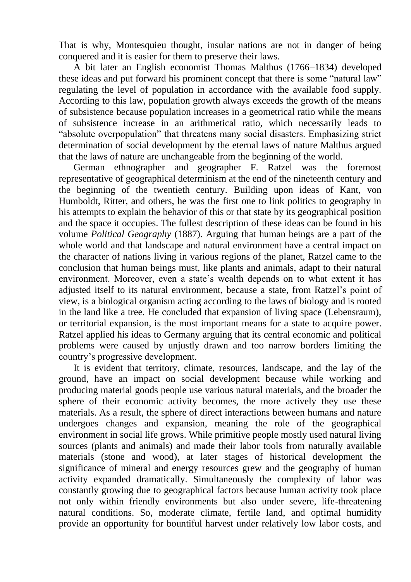That is why, Montesquieu thought, insular nations are not in danger of being conquered and it is easier for them to preserve their laws.

A bit later an English economist Thomas Malthus (1766–1834) developed these ideas and put forward his prominent concept that there is some "natural law" regulating the level of population in accordance with the available food supply. According to this law, population growth always exceeds the growth of the means of subsistence because population increases in a geometrical ratio while the means of subsistence increase in an arithmetical ratio, which necessarily leads to "absolute overpopulation" that threatens many social disasters. Emphasizing strict determination of social development by the eternal laws of nature Malthus argued that the laws of nature are unchangeable from the beginning of the world.

German ethnographer and geographer F. Ratzel was the foremost representative of geographical determinism at the end of the nineteenth century and the beginning of the twentieth century. Building upon ideas of Kant, von Humboldt, Ritter, and others, he was the first one to link politics to geography in his attempts to explain the behavior of this or that state by its geographical position and the space it occupies. The fullest description of these ideas can be found in his volume *Political Geography* (1887). Arguing that human beings are a part of the whole world and that landscape and natural environment have a central impact on the character of nations living in various regions of the planet, Ratzel came to the conclusion that human beings must, like plants and animals, adapt to their natural environment. Moreover, even a state's wealth depends on to what extent it has adjusted itself to its natural environment, because a state, from Ratzel's point of view, is a biological organism acting according to the laws of biology and is rooted in the land like a tree. He concluded that expansion of living space (Lebensraum), or territorial expansion, is the most important means for a state to acquire power. Ratzel applied his ideas to Germany arguing that its central economic and political problems were caused by unjustly drawn and too narrow borders limiting the country's progressive development.

It is evident that territory, climate, resources, landscape, and the lay of the ground, have an impact on social development because while working and producing material goods people use various natural materials, and the broader the sphere of their economic activity becomes, the more actively they use these materials. As a result, the sphere of direct interactions between humans and nature undergoes changes and expansion, meaning the role of the geographical environment in social life grows. While primitive people mostly used natural living sources (plants and animals) and made their labor tools from naturally available materials (stone and wood), at later stages of historical development the significance of mineral and energy resources grew and the geography of human activity expanded dramatically. Simultaneously the complexity of labor was constantly growing due to geographical factors because human activity took place not only within friendly environments but also under severe, life-threatening natural conditions. So, moderate climate, fertile land, and optimal humidity provide an opportunity for bountiful harvest under relatively low labor costs, and